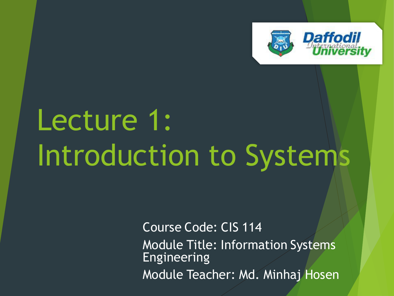

# Lecture 1: Introduction to Systems

Course Code: CIS 114 Module Title: Information Systems Engineering Module Teacher: Md. Minhaj Hosen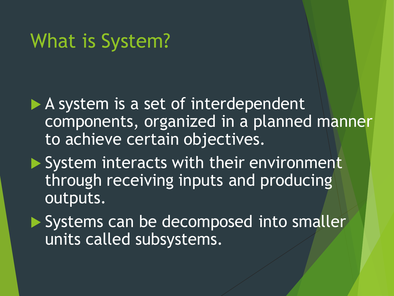## What is System?

A system is a set of interdependent components, organized in a planned manner to achieve certain objectives.

System interacts with their environment through receiving inputs and producing outputs.

Systems can be decomposed into smaller units called subsystems.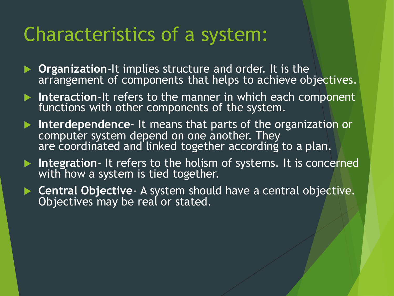# Characteristics of a system:

- **Organization**-It implies structure and order. It is the arrangement of components that helps to achieve objectives.
- **Interaction**-It refers to the manner in which each component functions with other components of the system.
- **Interdependence** It means that parts of the organization or computer system depend on one another. They are coordinated and linked together according to a plan.
- **Integration** It refers to the holism of systems. It is concerned with how a system is tied together.
- **Central Objective** A system should have a central objective. Objectives may be real or stated.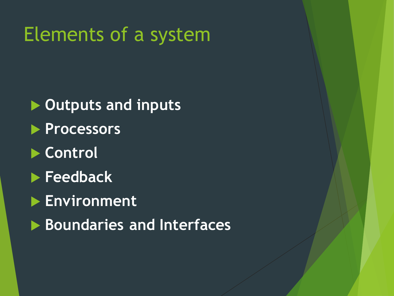# Elements of a system

 **Outputs and inputs Processors Control Feedback Environment Boundaries and Interfaces**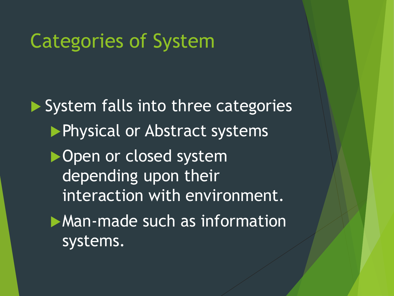# Categories of System

System falls into three categories **Physical or Abstract systems** Open or closed system depending upon their interaction with environment. Man-made such as information systems.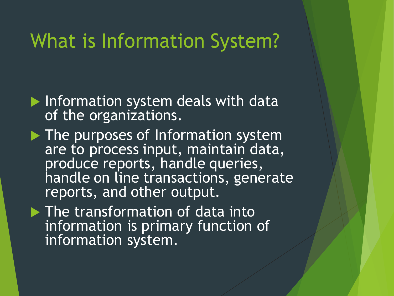# What is Information System?

**Information system deals with data** of the organizations.

The purposes of Information system are to process input, maintain data, produce reports, handle queries, handle on line transactions, generate reports, and other output.

 $\blacktriangleright$  The transformation of data into information is primary function of information system.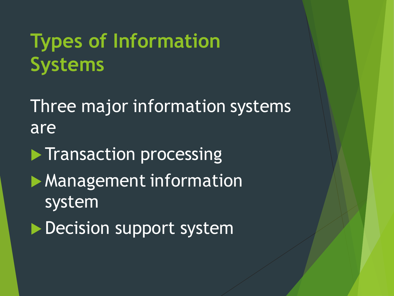# **Types of Information Systems**

Three major information systems are

 $\blacktriangleright$  Transaction processing

- **Management information** system
- Decision support system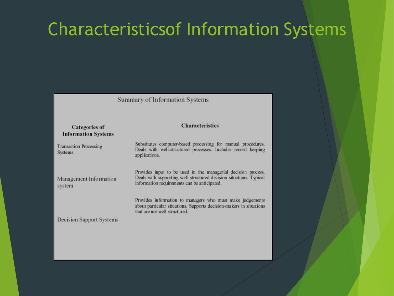### Characteristicsof Information Systems

### **Summary of Information Systems**

#### **Categories of Information Systems**

**Transaction Processing Systems** 

Management Information system

### **Characteristics**

Substitutes computer-based processing for manual procedures. Deals with well-structured processes. Includes record keeping applications.

Provides input to be used in the managerial decision process. Deals with supporting well structured decision situations. Typical information requirements can be anticipated.

Provides information to managers who must make judgements about particular situations. Supports decision-makers in situations that are not well structured.

**Decision Support Systems**